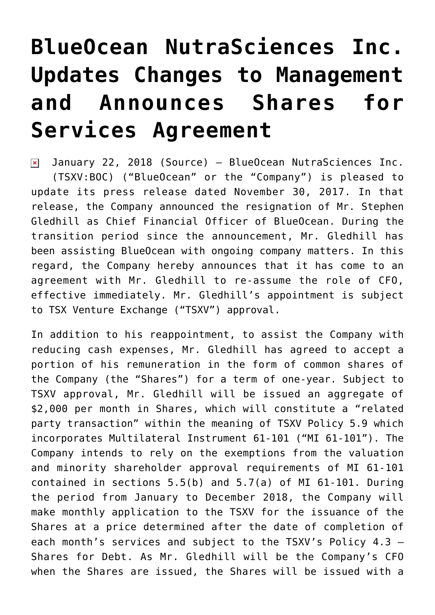## **[BlueOcean NutraSciences Inc.](https://investorintel.com/markets/agribusiness-mmj/agbusiness-mmj-news/blueocean-nutrasciences-inc-updates-changes-management-announces-shares-services-agreement/) [Updates Changes to Management](https://investorintel.com/markets/agribusiness-mmj/agbusiness-mmj-news/blueocean-nutrasciences-inc-updates-changes-management-announces-shares-services-agreement/) [and Announces Shares for](https://investorintel.com/markets/agribusiness-mmj/agbusiness-mmj-news/blueocean-nutrasciences-inc-updates-changes-management-announces-shares-services-agreement/) [Services Agreement](https://investorintel.com/markets/agribusiness-mmj/agbusiness-mmj-news/blueocean-nutrasciences-inc-updates-changes-management-announces-shares-services-agreement/)**

January 22, 2018 ([Source\)](https://investorintel.com/iintel-members/blueocean-nutraceuticals-inc/) — BlueOcean NutraSciences Inc.  $\pmb{\times}$ (TSXV:BOC) ("BlueOcean" or the "Company") is pleased to update its press release dated November 30, 2017. In that release, the Company announced the resignation of Mr. Stephen Gledhill as Chief Financial Officer of BlueOcean. During the transition period since the announcement, Mr. Gledhill has been assisting BlueOcean with ongoing company matters. In this regard, the Company hereby announces that it has come to an agreement with Mr. Gledhill to re-assume the role of CFO, effective immediately. Mr. Gledhill's appointment is subject to TSX Venture Exchange ("TSXV") approval.

In addition to his reappointment, to assist the Company with reducing cash expenses, Mr. Gledhill has agreed to accept a portion of his remuneration in the form of common shares of the Company (the "Shares") for a term of one-year. Subject to TSXV approval, Mr. Gledhill will be issued an aggregate of \$2,000 per month in Shares, which will constitute a "related party transaction" within the meaning of TSXV Policy 5.9 which incorporates Multilateral Instrument 61-101 ("MI 61-101"). The Company intends to rely on the exemptions from the valuation and minority shareholder approval requirements of MI 61-101 contained in sections 5.5(b) and 5.7(a) of MI 61-101. During the period from January to December 2018, the Company will make monthly application to the TSXV for the issuance of the Shares at a price determined after the date of completion of each month's services and subject to the TSXV's Policy 4.3 – Shares for Debt. As Mr. Gledhill will be the Company's CFO when the Shares are issued, the Shares will be issued with a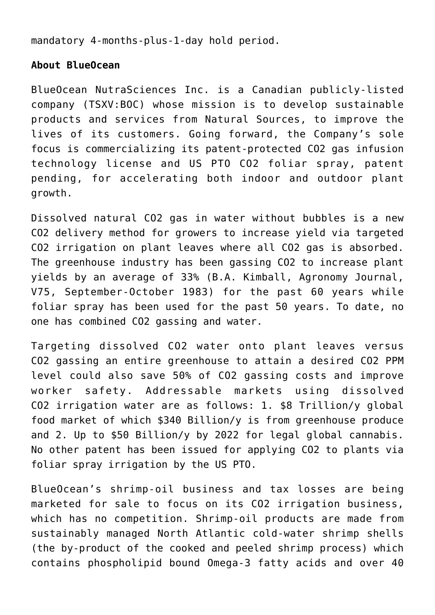mandatory 4-months-plus-1-day hold period.

## **About BlueOcean**

BlueOcean NutraSciences Inc. is a Canadian publicly-listed company (TSXV:BOC) whose mission is to develop sustainable products and services from Natural Sources, to improve the lives of its customers. Going forward, the Company's sole focus is commercializing its patent-protected CO2 gas infusion technology license and US PTO CO2 foliar spray, patent pending, for accelerating both indoor and outdoor plant growth.

Dissolved natural CO2 gas in water without bubbles is a new CO2 delivery method for growers to increase yield via targeted CO2 irrigation on plant leaves where all CO2 gas is absorbed. The greenhouse industry has been gassing CO2 to increase plant yields by an average of 33% (B.A. Kimball, Agronomy Journal, V75, September-October 1983) for the past 60 years while foliar spray has been used for the past 50 years. To date, no one has combined CO2 gassing and water.

Targeting dissolved CO2 water onto plant leaves versus CO2 gassing an entire greenhouse to attain a desired CO2 PPM level could also save 50% of CO2 gassing costs and improve worker safety. Addressable markets using dissolved CO2 irrigation water are as follows: 1. \$8 Trillion/y global food market of which \$340 Billion/y is from greenhouse produce and 2. Up to \$50 Billion/y by 2022 for legal global cannabis. No other patent has been issued for applying CO2 to plants via foliar spray irrigation by the US PTO.

BlueOcean's shrimp-oil business and tax losses are being marketed for sale to focus on its CO2 irrigation business, which has no competition. Shrimp-oil products are made from sustainably managed North Atlantic cold-water shrimp shells (the by-product of the cooked and peeled shrimp process) which contains phospholipid bound Omega-3 fatty acids and over 40